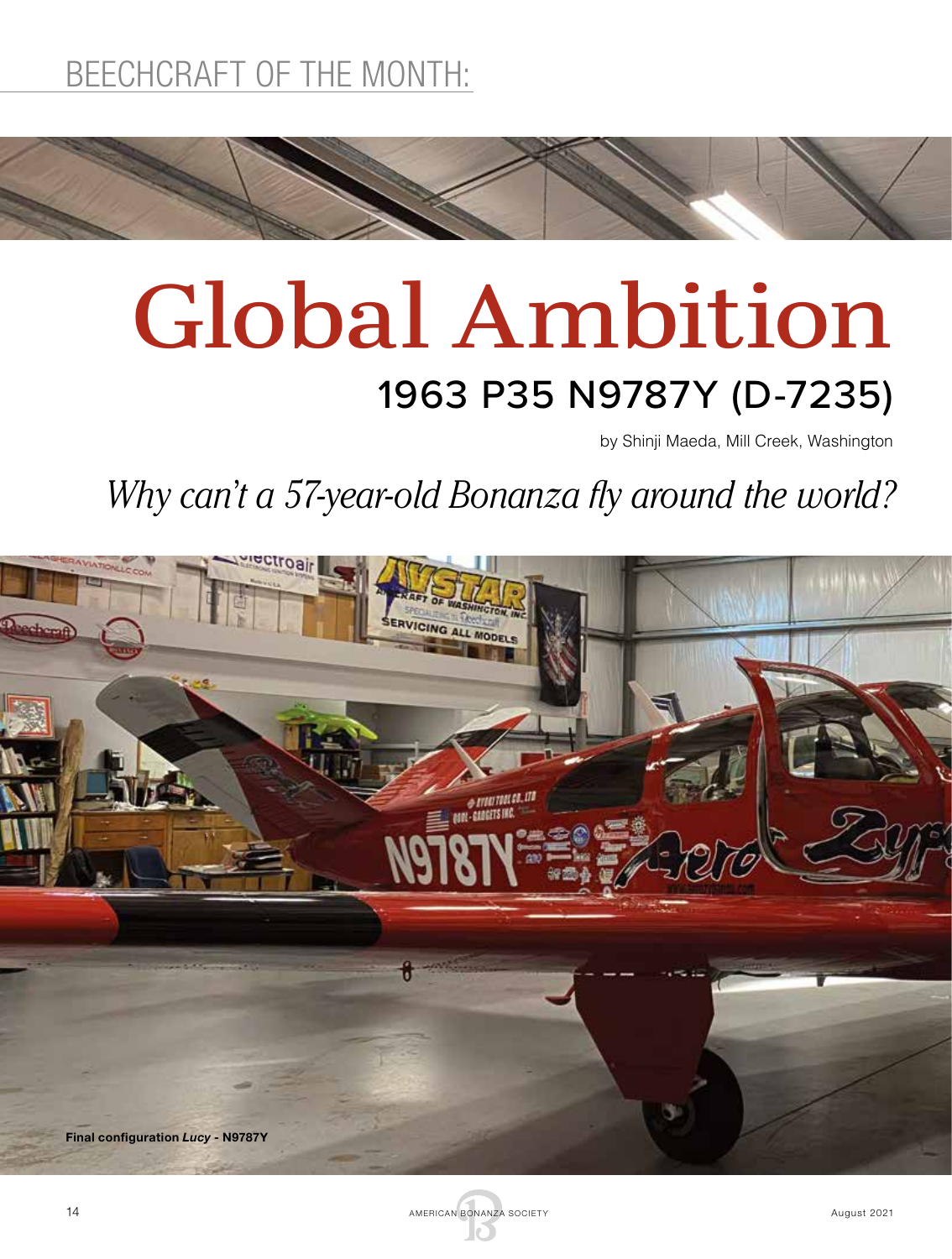# Global Ambition 1963 P35 N9787Y (D-7235)

by Shinji Maeda, Mill Creek, Washington

*Why can't a 57-year-old Bonanza fly around the world?*



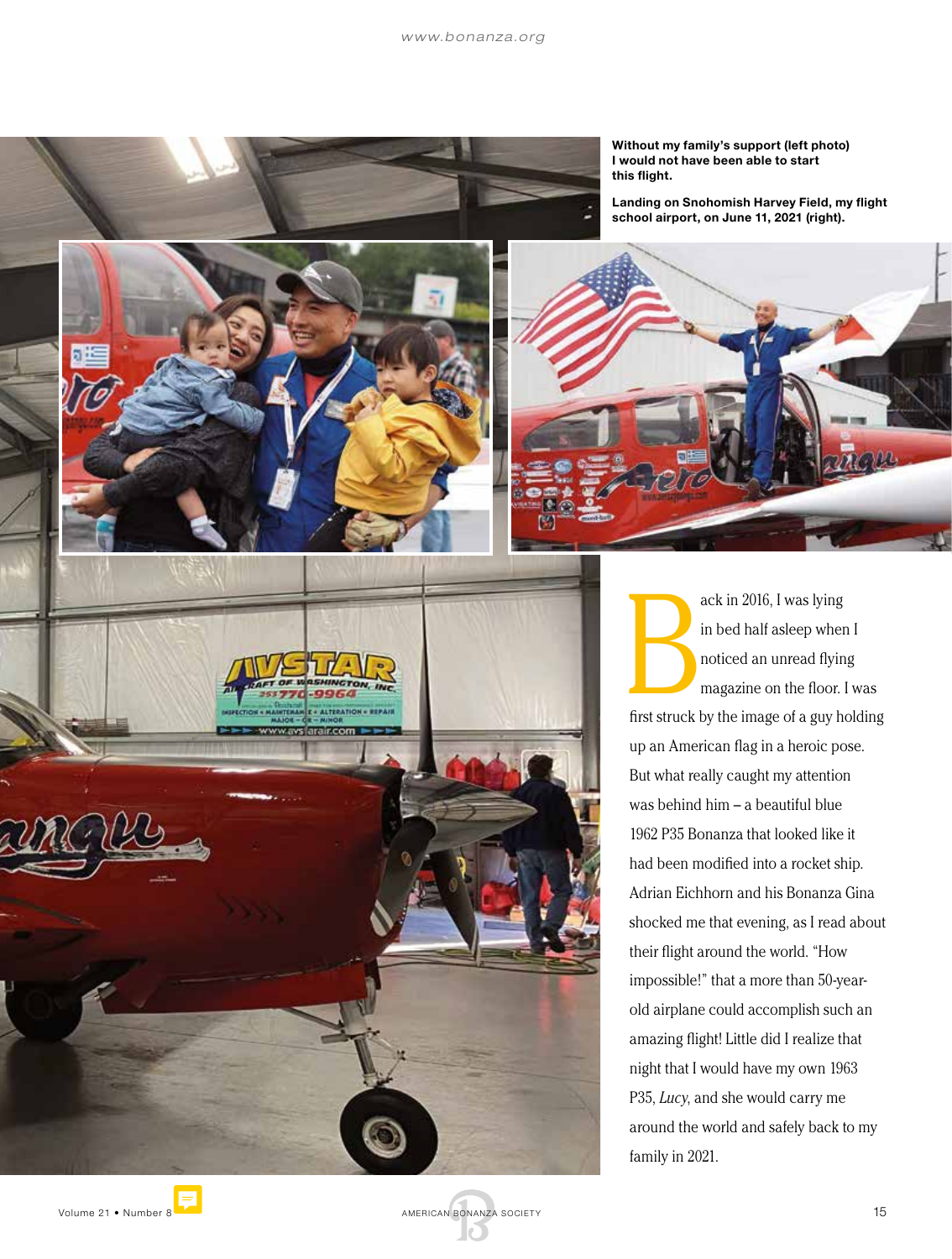

**C + ALTERATION + REPAIR** 

ww.avslarair.com

Without my family's support (left photo) I would not have been able to start this flight.

Landing on Snohomish Harvey Field, my flight school airport, on June 11, 2021 (right).



B<br>fret struck! ack in 2016, I was lying in bed half asleep when I noticed an unread flying magazine on the floor. I was first struck by the image of a guy holding up an American flag in a heroic pose. But what really caught my attention was behind him – a beautiful blue 1962 P35 Bonanza that looked like it had been modified into a rocket ship. Adrian Eichhorn and his Bonanza Gina shocked me that evening, as I read about their flight around the world. "How impossible!" that a more than 50-yearold airplane could accomplish such an amazing flight! Little did I realize that night that I would have my own 1963 P35, *Lucy*, and she would carry me around the world and safely back to my family in 2021.

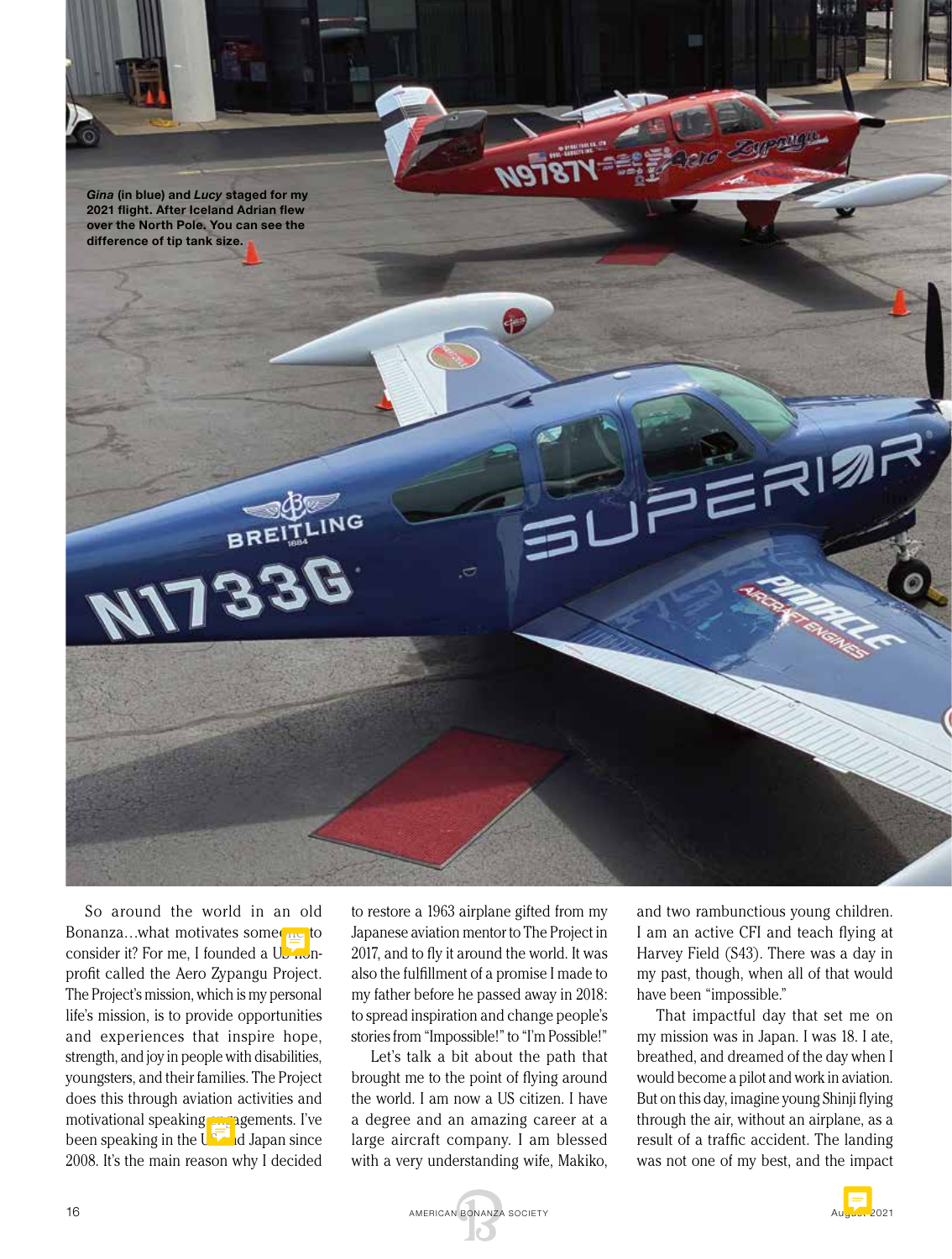

So around the world in an old Bonanza...what motivates some  $\log$  to consider it? For me, I founded a Use nonprofit called the Aero Zypangu Project. The Project's mission, which is my personal life's mission, is to provide opportunities and experiences that inspire hope, strength, and joy in people with disabilities, youngsters, and their families. The Project does this through aviation activities and motivational speaking **car agements**. I've been speaking in the  $U_{\mathcal{I}}$  and Japan since 2008. It's the main reason why I decided

to restore a 1963 airplane gifted from my Japanese aviation mentor to The Project in 2017, and to fly it around the world. It was also the fulfillment of a promise I made to my father before he passed away in 2018: to spread inspiration and change people's stories from "Impossible!" to "I'm Possible!"

Let's talk a bit about the path that brought me to the point of flying around the world. I am now a US citizen. I have a degree and an amazing career at a large aircraft company. I am blessed with a very understanding wife, Makiko,

and two rambunctious young children. I am an active CFI and teach flying at Harvey Field (S43). There was a day in my past, though, when all of that would have been "impossible."

That impactful day that set me on my mission was in Japan. I was 18. I ate, breathed, and dreamed of the day when I would become a pilot and work in aviation. But on this day, imagine young Shinji flying through the air, without an airplane, as a result of a traffic accident. The landing was not one of my best, and the impact

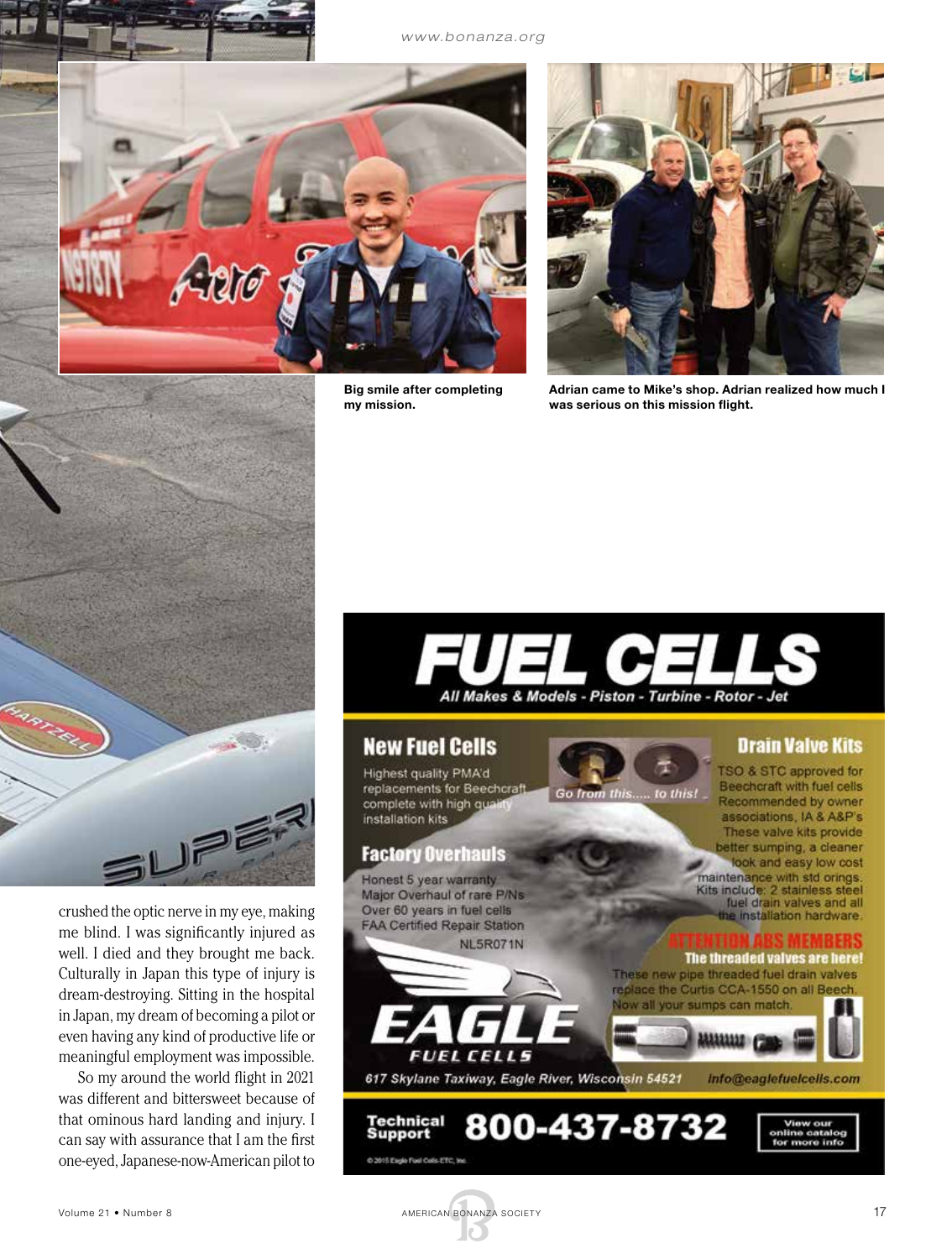*www.bonanza.org*



Big smile after completing my mission.



Adrian came to Mike's shop. Adrian realized how much I was serious on this mission flight.



crushed the optic nerve in my eye, making me blind. I was significantly injured as well. I died and they brought me back. Culturally in Japan this type of injury is dream-destroying. Sitting in the hospital in Japan, my dream of becoming a pilot or even having any kind of productive life or meaningful employment was impossible.

So my around the world flight in 2021 was different and bittersweet because of that ominous hard landing and injury. I can say with assurance that I am the first one-eyed, Japanese-now-American pilot to



### **New Fuel Cells**

Highest quality PMA'd replacements for Beechcraft complete with high qual installation kits

### **Factory Overhauls**

Honest 5 year warranty Major Overhaul of rare P/Ns Over 60 years in fuel cells FAA Certified Repair Station NL5R071N

*FUEL CELLS* 617 Skylane Taxiway, Eagle River, Wisconsin 54521

**Drain Valve Kits** 

TSO & STC approved for Beechcraft with fuel cells Go from this..... to this! Recommended by owner associations, IA & A&P's These valve kits provide etter sumping, a cleaner look and easy low cost maintenance with std orings. Kits include: 2 stainless steel<br>fuel drain valves and all the installation hardware.

The threaded valves are here! These new pipe threaded fuel drain valves replace the Curtis CCA-1550 on all Beech.

v all your sumps can match.

info@eaglefuelcells.com



**Technical Support** 

@ 2015 Eagle Foat Colls ETC, Inc.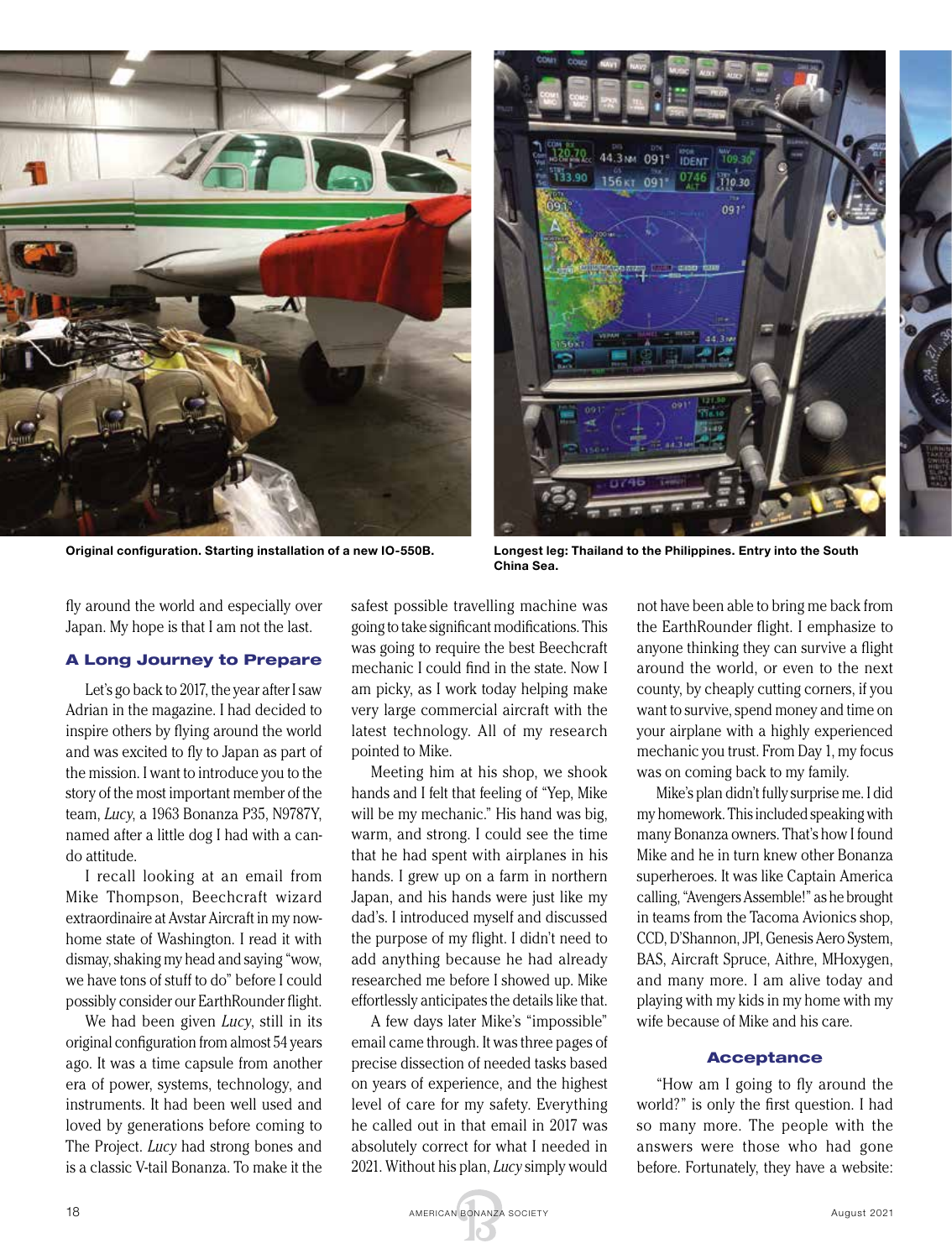

Original configuration. Starting installation of a new IO-550B. Longest leg: Thailand to the Philippines. Entry into the South



China Sea.

fly around the world and especially over Japan. My hope is that I am not the last.

### A Long Journey to Prepare

Let's go back to 2017, the year after I saw Adrian in the magazine. I had decided to inspire others by flying around the world and was excited to fly to Japan as part of the mission. I want to introduce you to the story of the most important member of the team, *Lucy*, a 1963 Bonanza P35, N9787Y, named after a little dog I had with a cando attitude.

I recall looking at an email from Mike Thompson, Beechcraft wizard extraordinaire at Avstar Aircraft in my nowhome state of Washington. I read it with dismay, shaking my head and saying "wow, we have tons of stuff to do" before I could possibly consider our EarthRounder flight.

We had been given *Lucy*, still in its original configuration from almost 54 years ago. It was a time capsule from another era of power, systems, technology, and instruments. It had been well used and loved by generations before coming to The Project. *Lucy* had strong bones and is a classic V-tail Bonanza. To make it the

safest possible travelling machine was going to take significant modifications. This was going to require the best Beechcraft mechanic I could find in the state. Now I am picky, as I work today helping make very large commercial aircraft with the latest technology. All of my research pointed to Mike.

Meeting him at his shop, we shook hands and I felt that feeling of "Yep, Mike will be my mechanic." His hand was big, warm, and strong. I could see the time that he had spent with airplanes in his hands. I grew up on a farm in northern Japan, and his hands were just like my dad's. I introduced myself and discussed the purpose of my flight. I didn't need to add anything because he had already researched me before I showed up. Mike effortlessly anticipates the details like that.

A few days later Mike's "impossible" email came through. It was three pages of precise dissection of needed tasks based on years of experience, and the highest level of care for my safety. Everything he called out in that email in 2017 was absolutely correct for what I needed in 2021. Without his plan, *Lucy* simply would

not have been able to bring me back from the EarthRounder flight. I emphasize to anyone thinking they can survive a flight around the world, or even to the next county, by cheaply cutting corners, if you want to survive, spend money and time on your airplane with a highly experienced mechanic you trust. From Day 1, my focus was on coming back to my family.

Mike's plan didn't fully surprise me. I did my homework. This included speaking with many Bonanza owners. That's how I found Mike and he in turn knew other Bonanza superheroes. It was like Captain America calling, "Avengers Assemble!" as he brought in teams from the Tacoma Avionics shop, CCD, D'Shannon, JPI, Genesis Aero System, BAS, Aircraft Spruce, Aithre, MHoxygen, and many more. I am alive today and playing with my kids in my home with my wife because of Mike and his care.

#### Acceptance

"How am I going to fly around the world?" is only the first question. I had so many more. The people with the answers were those who had gone before. Fortunately, they have a website:

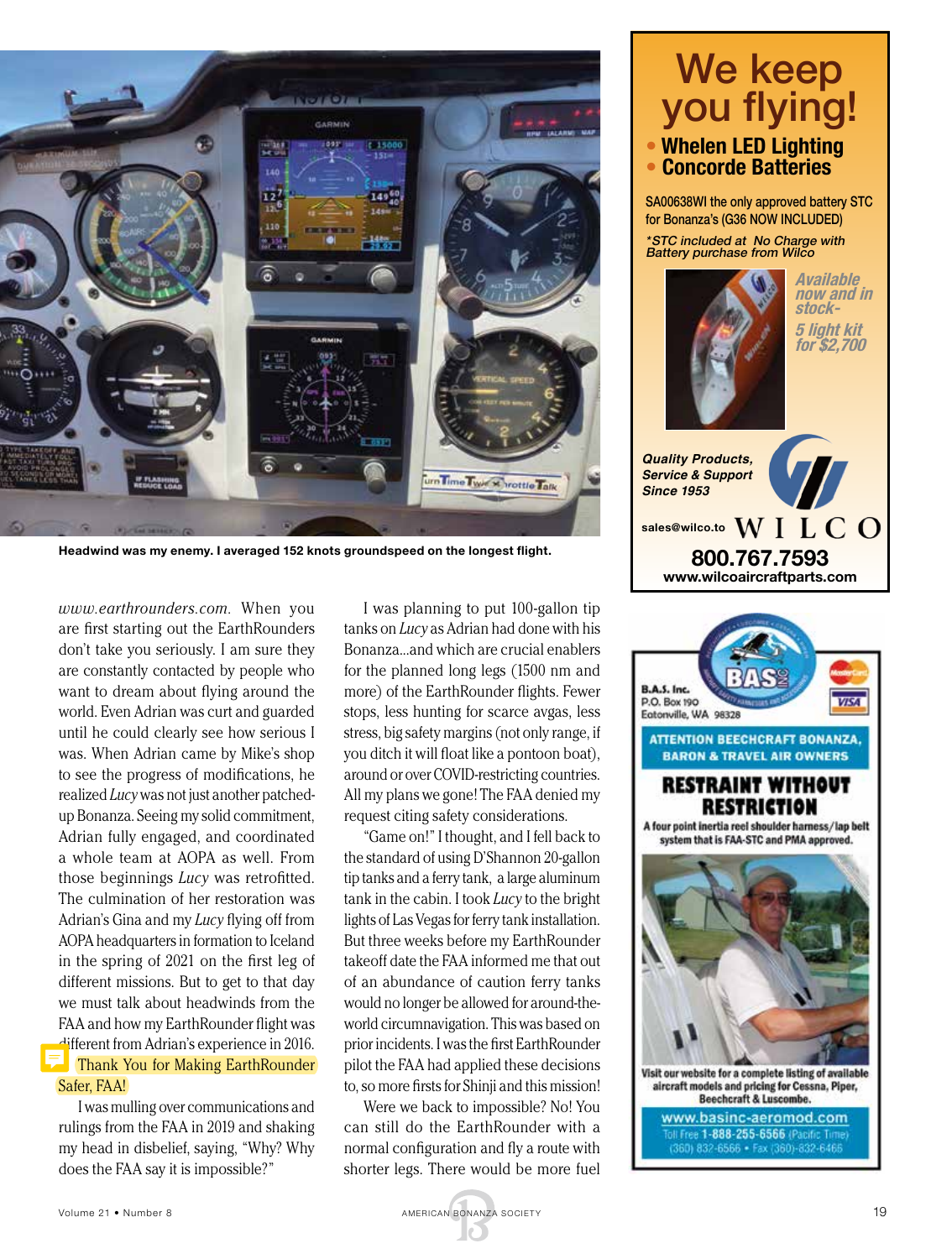

Headwind was my enemy. I averaged 152 knots groundspeed on the longest flight.

*www.earthrounders.com.* When you are first starting out the EarthRounders don't take you seriously. I am sure they are constantly contacted by people who want to dream about flying around the world. Even Adrian was curt and guarded until he could clearly see how serious I was. When Adrian came by Mike's shop to see the progress of modifications, he realized *Lucy* was not just another patchedup Bonanza. Seeing my solid commitment, Adrian fully engaged, and coordinated a whole team at AOPA as well. From those beginnings *Lucy* was retrofitted. The culmination of her restoration was Adrian's Gina and my *Lucy* flying off from AOPA headquarters in formation to Iceland in the spring of 2021 on the first leg of different missions. But to get to that day we must talk about headwinds from the FAA and how my EarthRounder flight was different from Adrian's experience in 2016. Thank You for Making EarthRounder Safer, FAA!

I was mulling over communications and rulings from the FAA in 2019 and shaking my head in disbelief, saying, "Why? Why does the FAA say it is impossible?"

I was planning to put 100-gallon tip tanks on *Lucy* as Adrian had done with his Bonanza...and which are crucial enablers for the planned long legs (1500 nm and more) of the EarthRounder flights. Fewer stops, less hunting for scarce avgas, less stress, big safety margins (not only range, if you ditch it will float like a pontoon boat), around or over COVID-restricting countries. All my plans we gone! The FAA denied my request citing safety considerations.

"Game on!" I thought, and I fell back to the standard of using D'Shannon 20-gallon tip tanks and a ferry tank, a large aluminum tank in the cabin. I took *Lucy* to the bright lights of Las Vegas for ferry tank installation. But three weeks before my EarthRounder takeoff date the FAA informed me that out of an abundance of caution ferry tanks would no longer be allowed for around-theworld circumnavigation. This was based on prior incidents. I was the first EarthRounder pilot the FAA had applied these decisions to, so more firsts for Shinji and this mission!

Were we back to impossible? No! You can still do the EarthRounder with a normal configuration and fly a route with shorter legs. There would be more fuel

### We keep you flying! **• Whelen LED Lighting • Concorde Batteries**

SA00638WI the only approved battery STC for Bonanza's (G36 NOW INCLUDED) \*STC included at No Charge with **Battery purchase from Wilco** 



**Available now and in stock-**

**5 light kit for \$2,700**

**800.767.7593 www.wilcoaircraftparts.com**



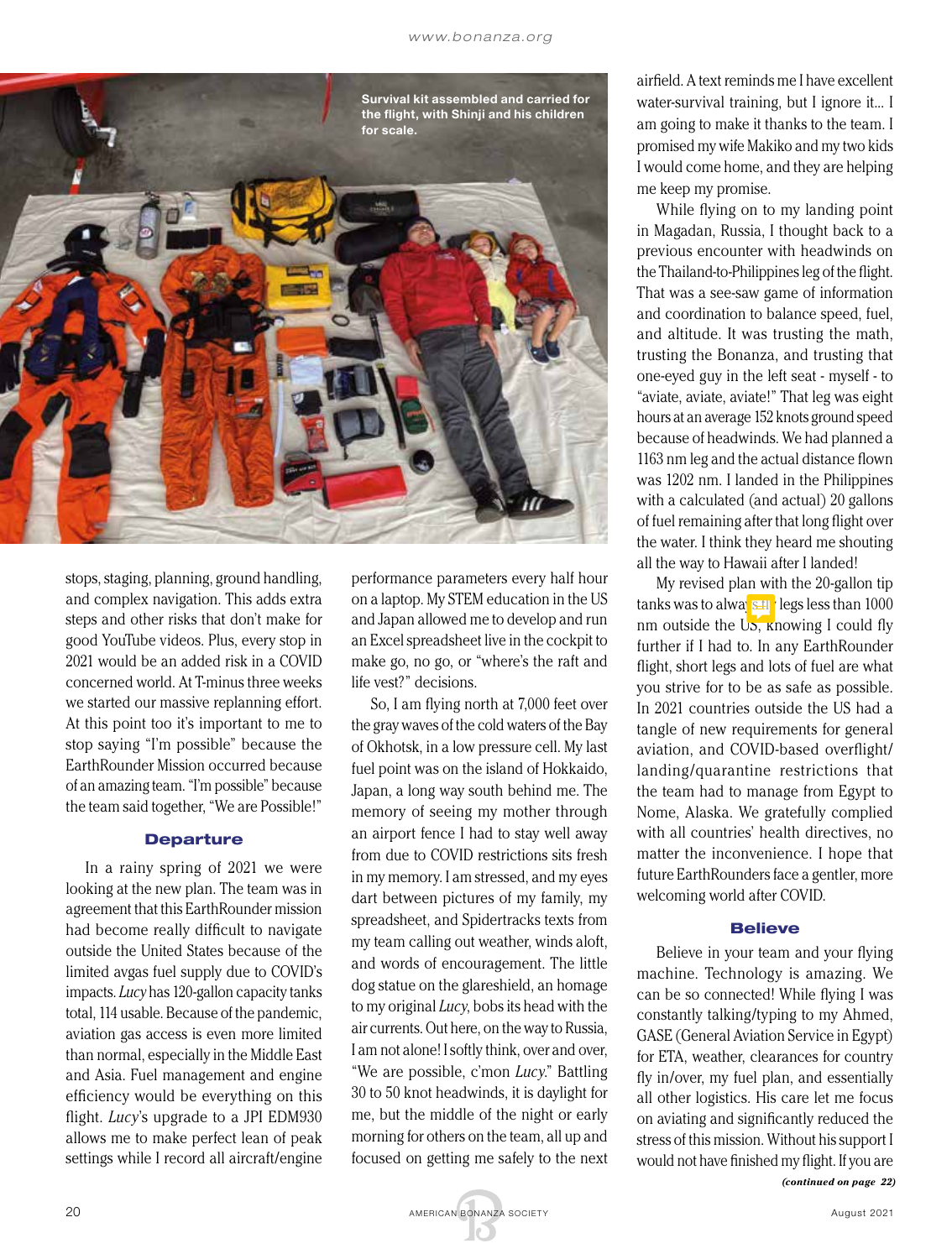

stops, staging, planning, ground handling, and complex navigation. This adds extra steps and other risks that don't make for good YouTube videos. Plus, every stop in 2021 would be an added risk in a COVID concerned world. At T-minus three weeks we started our massive replanning effort. At this point too it's important to me to stop saying "I'm possible" because the EarthRounder Mission occurred because of an amazing team. "I'm possible" because the team said together, "We are Possible!"

### Departure

In a rainy spring of 2021 we were looking at the new plan. The team was in agreement that this EarthRounder mission had become really difficult to navigate outside the United States because of the limited avgas fuel supply due to COVID's impacts. *Lucy* has 120-gallon capacity tanks total, 114 usable. Because of the pandemic, aviation gas access is even more limited than normal, especially in the Middle East and Asia. Fuel management and engine efficiency would be everything on this flight. *Lucy*'s upgrade to a JPI EDM930 allows me to make perfect lean of peak settings while I record all aircraft/engine performance parameters every half hour on a laptop. My STEM education in the US and Japan allowed me to develop and run an Excel spreadsheet live in the cockpit to make go, no go, or "where's the raft and life vest?" decisions.

So, I am flying north at 7,000 feet over the gray waves of the cold waters of the Bay of Okhotsk, in a low pressure cell. My last fuel point was on the island of Hokkaido, Japan, a long way south behind me. The memory of seeing my mother through an airport fence I had to stay well away from due to COVID restrictions sits fresh in my memory. I am stressed, and my eyes dart between pictures of my family, my spreadsheet, and Spidertracks texts from my team calling out weather, winds aloft, and words of encouragement. The little dog statue on the glareshield, an homage to my original *Lucy*, bobs its head with the air currents. Out here, on the way to Russia, I am not alone! I softly think, over and over, "We are possible, c'mon *Lucy*." Battling 30 to 50 knot headwinds, it is daylight for me, but the middle of the night or early morning for others on the team, all up and focused on getting me safely to the next

airfield. A text reminds me I have excellent water-survival training, but I ignore it... I am going to make it thanks to the team. I promised my wife Makiko and my two kids I would come home, and they are helping me keep my promise.

While flying on to my landing point in Magadan, Russia, I thought back to a previous encounter with headwinds on the Thailand-to-Philippines leg of the flight. That was a see-saw game of information and coordination to balance speed, fuel, and altitude. It was trusting the math, trusting the Bonanza, and trusting that one-eyed guy in the left seat - myself - to "aviate, aviate, aviate!" That leg was eight hours at an average 152 knots ground speed because of headwinds. We had planned a 1163 nm leg and the actual distance flown was 1202 nm. I landed in the Philippines with a calculated (and actual) 20 gallons of fuel remaining after that long flight over the water. I think they heard me shouting all the way to Hawaii after I landed!

My revised plan with the 20-gallon tip tanks was to always fly legs less than 1000 nm outside the  $Us$ , knowing I could fly further if I had to. In any EarthRounder flight, short legs and lots of fuel are what you strive for to be as safe as possible. In 2021 countries outside the US had a tangle of new requirements for general aviation, and COVID-based overflight/ landing/quarantine restrictions that the team had to manage from Egypt to Nome, Alaska. We gratefully complied with all countries' health directives, no matter the inconvenience. I hope that future EarthRounders face a gentler, more welcoming world after COVID.

#### **Believe**

Believe in your team and your flying machine. Technology is amazing. We can be so connected! While flying I was constantly talking/typing to my Ahmed, GASE (General Aviation Service in Egypt) for ETA, weather, clearances for country fly in/over, my fuel plan, and essentially all other logistics. His care let me focus on aviating and significantly reduced the stress of this mission. Without his support I would not have finished my flight. If you are

*(continued on page 22)*

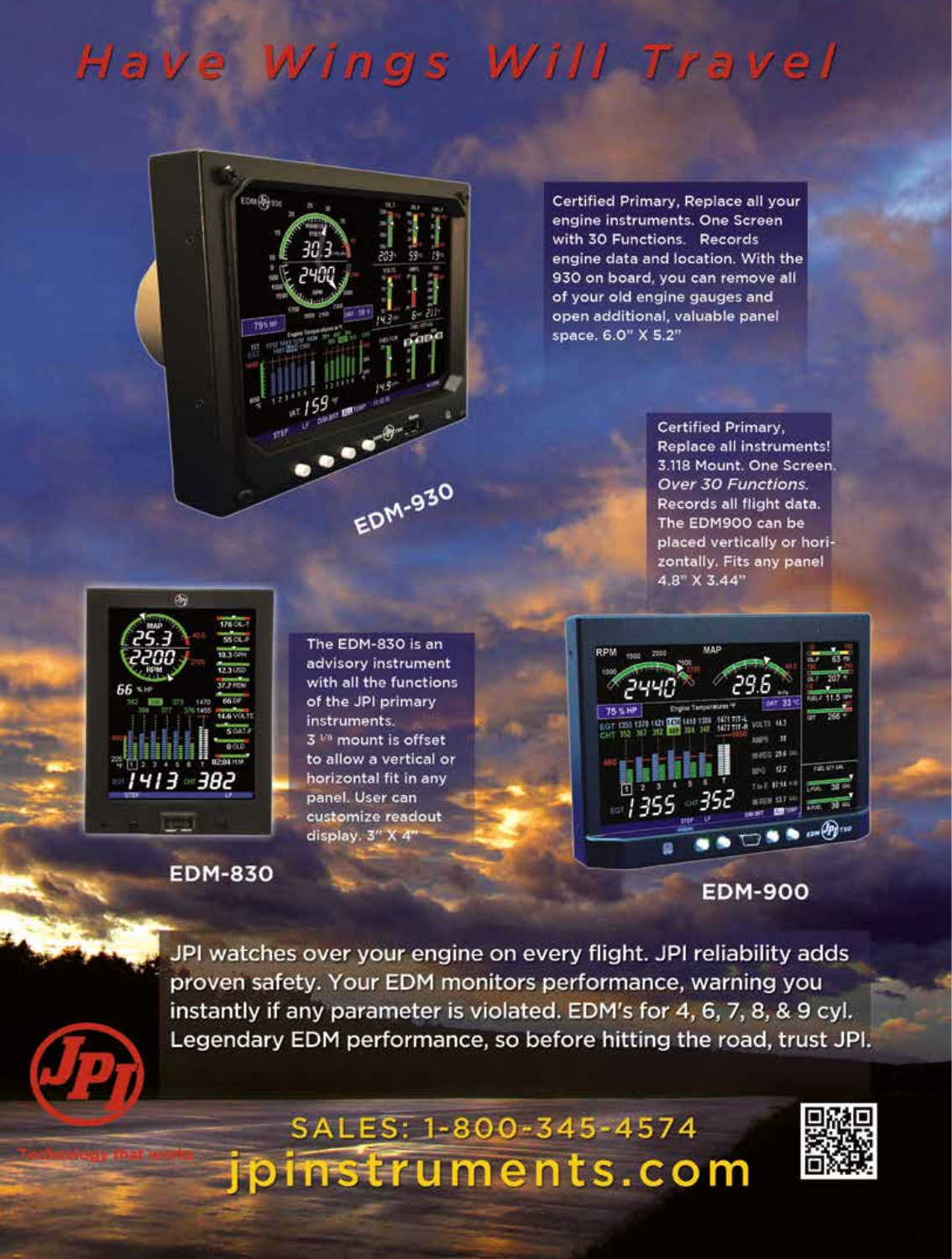## Have Wings Will Travel



Certified Primary, Replace all your engine instruments. One Screen with 30 Functions. Records engine data and location. With the 930 on board, you can remove all of your old engine gauges and open additional, valuable panel space, 6.0" X 5.2"

> **Certified Primary, Replace all instruments!** 3.118 Mount. One Screen. Over 30 Functions. Records all flight data. The EDM900 can be placed vertically or horizontally. Fits any panel  $4.8"$  X 3.44"



The EDM-830 is an advisory instrument with all the functions of the JPI primary instruments. 3 V<sup>8</sup> mount is offset to allow a vertical or horizontal fit in any panel. User can customize readout display. 3" X 4"



**EDM-900** 

**EDM-830** 

JPI watches over your engine on every flight. JPI reliability adds proven safety. Your EDM monitors performance, warning you instantly if any parameter is violated. EDM's for 4, 6, 7, 8, & 9 cyl. Legendary EDM performance, so before hitting the road, trust JPI.

### SALES: 1-800-345-4574 ipinstruments.com

Volume 21 • Number 8 AMERICAN BONANZA SOCIETY 21 • Number 8 AMERICAN BONANZA SOCIETY 21 • Number 8 AMERICAN BO